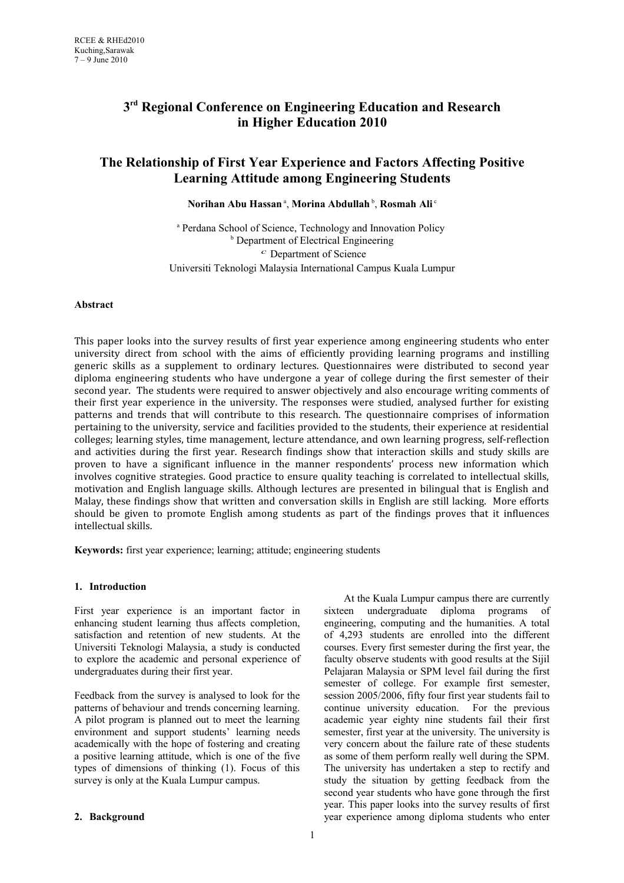# **3 rd Regional Conference on Engineering Education and Research in Higher Education 2010**

# **The Relationship of First Year Experience and Factors Affecting Positive Learning Attitude among Engineering Students**

# $\mathbf{Normal}$  Abu Hassan $^{\mathrm{a}}, \mathbf{Morina}$  Abdullah $^{\mathrm{b}}, \mathbf{R}$ osmah Ali $^{\mathrm{c}}$

<sup>a</sup> Perdana School of Science, Technology and Innovation Policy **b** Department of Electrical Engineering *c* Department of Science Universiti Teknologi Malaysia International Campus Kuala Lumpur

## **Abstract**

This paper looks into the survey results of first year experience among engineering students who enter university direct from school with the aims of efficiently providing learning programs and instilling generic skills as a supplement to ordinary lectures. Questionnaires were distributed to second year diploma engineering students who have undergone a year of college during the first semester of their second year. The students were required to answer objectively and also encourage writing comments of their first year experience in the university. The responses were studied, analysed further for existing patterns and trends that will contribute to this research. The questionnaire comprises of information pertaining to the university, service and facilities provided to the students, their experience at residential colleges; learning styles, time management, lecture attendance, and own learning progress, self-reflection and activities during the first year. Research findings show that interaction skills and study skills are proven to have a significant influence in the manner respondents' process new information which involves cognitive strategies. Good practice to ensure quality teaching is correlated to intellectual skills, motivation and English language skills. Although lectures are presented in bilingual that is English and Malay, these findings show that written and conversation skills in English are still lacking. More efforts should be given to promote English among students as part of the findings proves that it influences intellectual skills.

**Keywords:** first year experience; learning; attitude; engineering students

# **1. Introduction**

First year experience is an important factor in enhancing student learning thus affects completion, satisfaction and retention of new students. At the Universiti Teknologi Malaysia, a study is conducted to explore the academic and personal experience of undergraduates during their first year.

Feedback from the survey is analysed to look for the patterns of behaviour and trends concerning learning. A pilot program is planned out to meet the learning environment and support students' learning needs academically with the hope of fostering and creating a positive learning attitude, which is one of the five types of dimensions of thinking (1). Focus of this survey is only at the Kuala Lumpur campus.

 At the Kuala Lumpur campus there are currently sixteen undergraduate diploma programs of engineering, computing and the humanities. A total of 4,293 students are enrolled into the different courses. Every first semester during the first year, the faculty observe students with good results at the Sijil Pelajaran Malaysia or SPM level fail during the first semester of college. For example first semester, session 2005/2006, fifty four first year students fail to continue university education. For the previous academic year eighty nine students fail their first semester, first year at the university. The university is very concern about the failure rate of these students as some of them perform really well during the SPM. The university has undertaken a step to rectify and study the situation by getting feedback from the second year students who have gone through the first year. This paper looks into the survey results of first year experience among diploma students who enter

## **2. Background**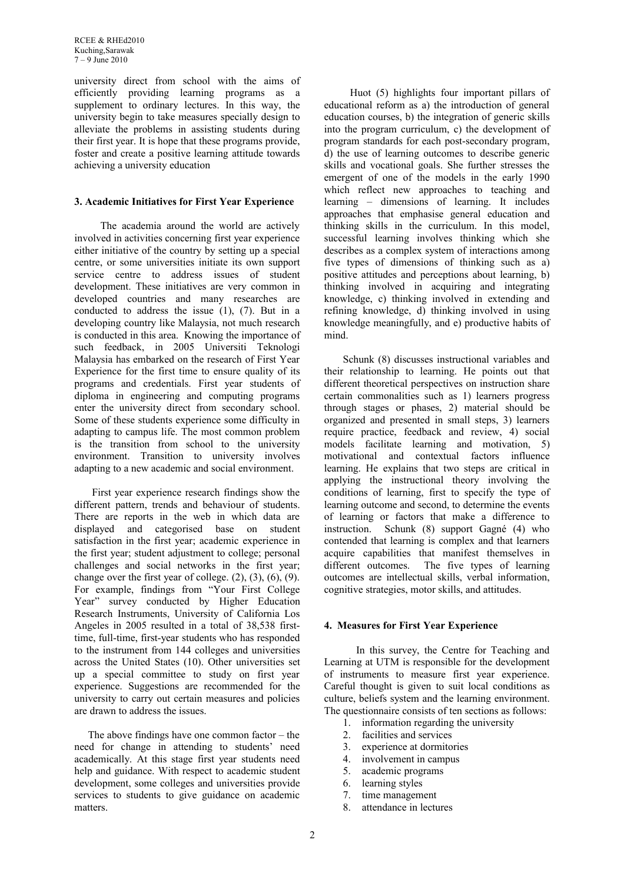RCEE & RHEd2010 Kuching,Sarawak 7 – 9 June 2010

university direct from school with the aims of efficiently providing learning programs as a supplement to ordinary lectures. In this way, the university begin to take measures specially design to alleviate the problems in assisting students during their first year. It is hope that these programs provide, foster and create a positive learning attitude towards achieving a university education

## **3. Academic Initiatives for First Year Experience**

 The academia around the world are actively involved in activities concerning first year experience either initiative of the country by setting up a special centre, or some universities initiate its own support service centre to address issues of student development. These initiatives are very common in developed countries and many researches are conducted to address the issue (1), (7). But in a developing country like Malaysia, not much research is conducted in this area. Knowing the importance of such feedback, in 2005 Universiti Teknologi Malaysia has embarked on the research of First Year Experience for the first time to ensure quality of its programs and credentials. First year students of diploma in engineering and computing programs enter the university direct from secondary school. Some of these students experience some difficulty in adapting to campus life. The most common problem is the transition from school to the university environment. Transition to university involves adapting to a new academic and social environment.

 First year experience research findings show the different pattern, trends and behaviour of students. There are reports in the web in which data are displayed and categorised base on student satisfaction in the first year; academic experience in the first year; student adjustment to college; personal challenges and social networks in the first year; change over the first year of college.  $(2)$ ,  $(3)$ ,  $(6)$ ,  $(9)$ . For example, findings from "Your First College Year" survey conducted by Higher Education Research Instruments, University of California Los Angeles in 2005 resulted in a total of 38,538 firsttime, full-time, first-year students who has responded to the instrument from 144 colleges and universities across the United States (10). Other universities set up a special committee to study on first year experience. Suggestions are recommended for the university to carry out certain measures and policies are drawn to address the issues.

 The above findings have one common factor – the need for change in attending to students' need academically. At this stage first year students need help and guidance. With respect to academic student development, some colleges and universities provide services to students to give guidance on academic matters.

 Huot (5) highlights four important pillars of educational reform as a) the introduction of general education courses, b) the integration of generic skills into the program curriculum, c) the development of program standards for each post-secondary program, d) the use of learning outcomes to describe generic skills and vocational goals. She further stresses the emergent of one of the models in the early 1990 which reflect new approaches to teaching and learning – dimensions of learning. It includes approaches that emphasise general education and thinking skills in the curriculum. In this model, successful learning involves thinking which she describes as a complex system of interactions among five types of dimensions of thinking such as a) positive attitudes and perceptions about learning, b) thinking involved in acquiring and integrating knowledge, c) thinking involved in extending and refining knowledge, d) thinking involved in using knowledge meaningfully, and e) productive habits of mind.

 Schunk (8) discusses instructional variables and their relationship to learning. He points out that different theoretical perspectives on instruction share certain commonalities such as 1) learners progress through stages or phases, 2) material should be organized and presented in small steps, 3) learners require practice, feedback and review, 4) social models facilitate learning and motivation, 5) motivational and contextual factors influence learning. He explains that two steps are critical in applying the instructional theory involving the conditions of learning, first to specify the type of learning outcome and second, to determine the events of learning or factors that make a difference to instruction. Schunk (8) support Gagné (4) who contended that learning is complex and that learners acquire capabilities that manifest themselves in different outcomes. The five types of learning outcomes are intellectual skills, verbal information, cognitive strategies, motor skills, and attitudes.

## **4. Measures for First Year Experience**

In this survey, the Centre for Teaching and Learning at UTM is responsible for the development of instruments to measure first year experience. Careful thought is given to suit local conditions as culture, beliefs system and the learning environment. The questionnaire consists of ten sections as follows:

- 1. information regarding the university
- 2. facilities and services
- 3. experience at dormitories
- 4. involvement in campus
- 5. academic programs
- 
- 6. learning styles<br>7. time managem time management
- 8. attendance in lectures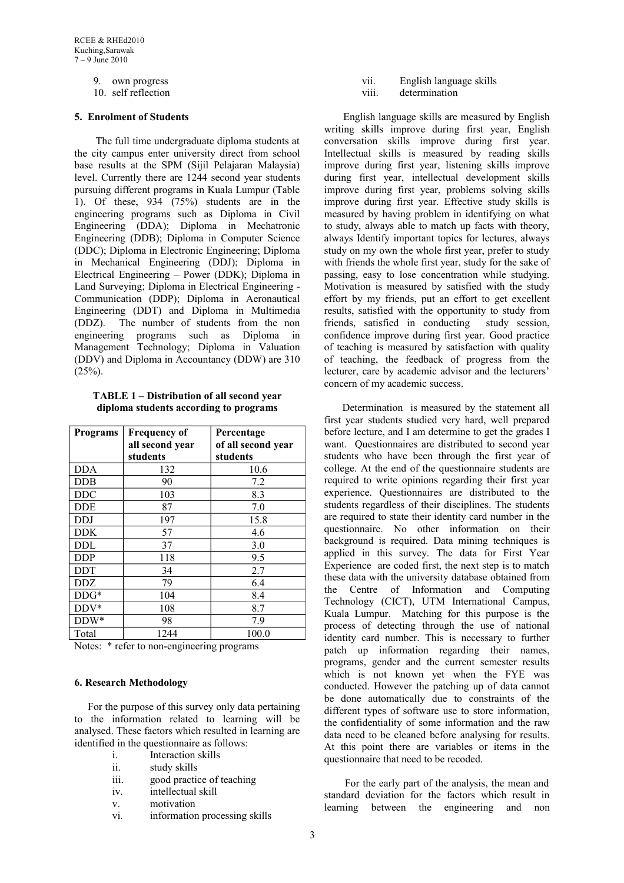9. own progress

10. self reflection

# **5. Enrolment of Students**

 The full time undergraduate diploma students at the city campus enter university direct from school base results at the SPM (Sijil Pelajaran Malaysia) level. Currently there are 1244 second year students pursuing different programs in Kuala Lumpur (Table 1). Of these, 934 (75%) students are in the engineering programs such as Diploma in Civil Engineering (DDA); Diploma in Mechatronic Engineering (DDB); Diploma in Computer Science (DDC); Diploma in Electronic Engineering; Diploma in Mechanical Engineering (DDJ); Diploma in Electrical Engineering – Power (DDK); Diploma in Land Surveying; Diploma in Electrical Engineering - Communication (DDP); Diploma in Aeronautical Engineering (DDT) and Diploma in Multimedia (DDZ). The number of students from the non engineering programs such as Diploma in Management Technology; Diploma in Valuation (DDV) and Diploma in Accountancy (DDW) are 310  $(25\%)$ .

**TABLE 1 – Distribution of all second year diploma students according to programs**

| <b>Programs</b> | <b>Frequency of</b><br>all second year<br>students | Percentage<br>of all second year<br>students |
|-----------------|----------------------------------------------------|----------------------------------------------|
| <b>DDA</b>      | 132                                                | 10.6                                         |
| <b>DDB</b>      | 90                                                 | 7.2                                          |
| <b>DDC</b>      | 103                                                | 8.3                                          |
| <b>DDE</b>      | 87                                                 | 7.0                                          |
| <b>DDJ</b>      | 197                                                | 15.8                                         |
| <b>DDK</b>      | 57                                                 | 4.6                                          |
| <b>DDL</b>      | 37                                                 | 3.0                                          |
| <b>DDP</b>      | 118                                                | 9.5                                          |
| <b>DDT</b>      | 34                                                 | 2.7                                          |
| DDZ             | 79                                                 | 6.4                                          |
| $DDG*$          | 104                                                | 8.4                                          |
| $DDV^*$         | 108                                                | 8.7                                          |
| DDW*            | 98                                                 | 7.9                                          |
| Total           | 1244                                               | 100.0                                        |

Notes: \* refer to non-engineering programs

# **6. Research Methodology**

 For the purpose of this survey only data pertaining to the information related to learning will be analysed. These factors which resulted in learning are identified in the questionnaire as follows:

- i. Interaction skills
- ii. study skills
- iii. good practice of teaching
- iv. intellectual skill
- v. motivation
- vi. information processing skills

vii. English language skills

viii. determination

 English language skills are measured by English writing skills improve during first year, English conversation skills improve during first year. Intellectual skills is measured by reading skills improve during first year, listening skills improve during first year, intellectual development skills improve during first year, problems solving skills improve during first year. Effective study skills is measured by having problem in identifying on what to study, always able to match up facts with theory, always Identify important topics for lectures, always study on my own the whole first year, prefer to study with friends the whole first year, study for the sake of passing, easy to lose concentration while studying. Motivation is measured by satisfied with the study effort by my friends, put an effort to get excellent results, satisfied with the opportunity to study from friends, satisfied in conducting study session, confidence improve during first year. Good practice of teaching is measured by satisfaction with quality of teaching, the feedback of progress from the lecturer, care by academic advisor and the lecturers' concern of my academic success.

 Determination is measured by the statement all first year students studied very hard, well prepared before lecture, and I am determine to get the grades I want. Questionnaires are distributed to second year students who have been through the first year of college. At the end of the questionnaire students are required to write opinions regarding their first year experience. Questionnaires are distributed to the students regardless of their disciplines. The students are required to state their identity card number in the questionnaire. No other information on their background is required. Data mining techniques is applied in this survey. The data for First Year Experience are coded first, the next step is to match these data with the university database obtained from the Centre of Information and Computing Technology (CICT), UTM International Campus, Kuala Lumpur. Matching for this purpose is the process of detecting through the use of national identity card number. This is necessary to further patch up information regarding their names, programs, gender and the current semester results which is not known yet when the FYE was conducted. However the patching up of data cannot be done automatically due to constraints of the different types of software use to store information, the confidentiality of some information and the raw data need to be cleaned before analysing for results. At this point there are variables or items in the questionnaire that need to be recoded.

 For the early part of the analysis, the mean and standard deviation for the factors which result in learning between the engineering and non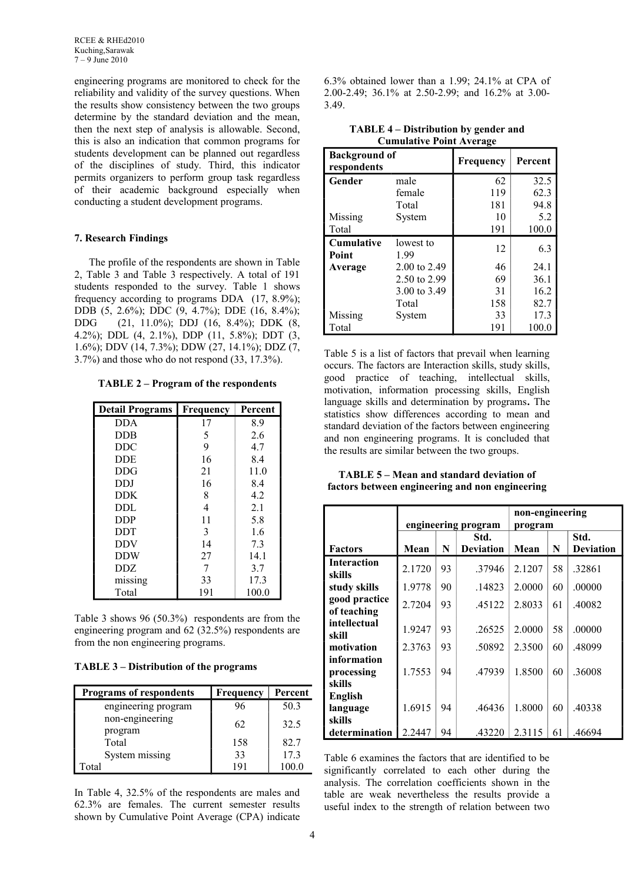engineering programs are monitored to check for the reliability and validity of the survey questions. When the results show consistency between the two groups determine by the standard deviation and the mean, then the next step of analysis is allowable. Second, this is also an indication that common programs for students development can be planned out regardless of the disciplines of study. Third, this indicator permits organizers to perform group task regardless of their academic background especially when conducting a student development programs.

#### **7. Research Findings**

The profile of the respondents are shown in Table 2, Table 3 and Table 3 respectively. A total of 191 students responded to the survey. Table 1 shows frequency according to programs DDA (17, 8.9%); DDB (5, 2.6%); DDC (9, 4.7%); DDE (16, 8.4%); DDG (21, 11.0%); DDJ (16, 8.4%); DDK (8, 4.2%); DDL (4, 2.1%), DDP (11, 5.8%); DDT (3, 1.6%); DDV (14, 7.3%); DDW (27, 14.1%); DDZ (7, 3.7%) and those who do not respond (33, 17.3%).

**TABLE 2 – Program of the respondents**

| <b>Detail Programs</b> | Frequency | Percent |
|------------------------|-----------|---------|
| <b>DDA</b>             | 17        | 8.9     |
| DDB                    | 5         | 2.6     |
| <b>DDC</b>             | 9         | 4.7     |
| <b>DDE</b>             | 16        | 8.4     |
| DDG                    | 21        | 11.0    |
| DDJ                    | 16        | 8.4     |
| DDK.                   | 8         | 42      |
| DDL                    | 4         | 2.1     |
| <b>DDP</b>             | 11        | 5.8     |
| <b>DDT</b>             | 3         | 1.6     |
| <b>DDV</b>             | 14        | 7.3     |
| <b>DDW</b>             | 27        | 14.1    |
| DDZ.                   | 7         | 3.7     |
| missing                | 33        | 17.3    |
| Total                  | 191       | 100.0   |

Table 3 shows 96 (50.3%) respondents are from the engineering program and 62 (32.5%) respondents are from the non engineering programs.

### **TABLE 3 – Distribution of the programs**

| <b>Programs of respondents</b> | Frequency | Percent |
|--------------------------------|-----------|---------|
| engineering program            | 96        | 50.3    |
| non-engineering<br>program     | 62        | 32.5    |
| Total                          | 158       | 82.7    |
| System missing                 | 33        | 17.3    |
| Total                          | 191       | 100.0   |

In Table 4, 32.5% of the respondents are males and 62.3% are females. The current semester results shown by Cumulative Point Average (CPA) indicate 6.3% obtained lower than a 1.99; 24.1% at CPA of 2.00-2.49; 36.1% at 2.50-2.99; and 16.2% at 3.00- 3.49.

| <b>Background of</b><br>respondents |              | <b>Frequency</b> | Percent |
|-------------------------------------|--------------|------------------|---------|
| Gender                              | male         | 62               | 32.5    |
|                                     | female       | 119              | 62.3    |
|                                     | Total        | 181              | 94.8    |
| Missing                             | System       | 10               | 5.2     |
| Total                               |              | 191              | 100.0   |
| <b>Cumulative</b>                   | lowest to    | 12               | 6.3     |
| <b>Point</b>                        | 1.99         |                  |         |
| Average                             | 2.00 to 2.49 | 46               | 24.1    |
|                                     | 2.50 to 2.99 | 69               | 36.1    |
|                                     | 3.00 to 3.49 | 31               | 16.2    |
|                                     | Total        | 158              | 82.7    |
| Missing                             | System       | 33               | 17.3    |
| Total                               |              | 191              | 100.0   |

**TABLE 4 – Distribution by gender and Cumulative Point Average**

Table 5 is a list of factors that prevail when learning occurs. The factors are Interaction skills, study skills, good practice of teaching, intellectual skills, motivation, information processing skills, English language skills and determination by programs**.** The statistics show differences according to mean and standard deviation of the factors between engineering and non engineering programs. It is concluded that the results are similar between the two groups.

| <b>TABLE 5 – Mean and standard deviation of</b> |                                                 |
|-------------------------------------------------|-------------------------------------------------|
|                                                 | factors between engineering and non engineering |

|                    |                     |    |                  | non-engineering |    |                  |
|--------------------|---------------------|----|------------------|-----------------|----|------------------|
|                    | engineering program |    | program          |                 |    |                  |
|                    |                     |    | Std.             |                 |    | Std.             |
| <b>Factors</b>     | Mean                | N  | <b>Deviation</b> | Mean            | N  | <b>Deviation</b> |
| <b>Interaction</b> | 2.1720              | 93 | .37946           | 2.1207          | 58 | .32861           |
| skills             |                     |    |                  |                 |    |                  |
| study skills       | 1.9778              | 90 | .14823           | 2.0000          | 60 | .00000           |
| good practice      | 2.7204              | 93 | .45122           | 2.8033          | 61 | .40082           |
| of teaching        |                     |    |                  |                 |    |                  |
| intellectual       | 1.9247              | 93 | .26525           | 2.0000          | 58 | .00000           |
| skill              |                     |    |                  |                 |    |                  |
| motivation         | 2.3763              | 93 | .50892           | 2.3500          | 60 | .48099           |
| information        |                     |    |                  |                 |    |                  |
| processing         | 1.7553              | 94 | .47939           | 1.8500          | 60 | .36008           |
| skills             |                     |    |                  |                 |    |                  |
| <b>English</b>     |                     |    |                  |                 |    |                  |
| language           | 1.6915              | 94 | .46436           | 1.8000          | 60 | .40338           |
| skills             |                     |    |                  |                 |    |                  |
| determination      | 2.2447              | 94 | .43220           | 2.3115          | 61 | .46694           |

Table 6 examines the factors that are identified to be significantly correlated to each other during the analysis. The correlation coefficients shown in the table are weak nevertheless the results provide a useful index to the strength of relation between two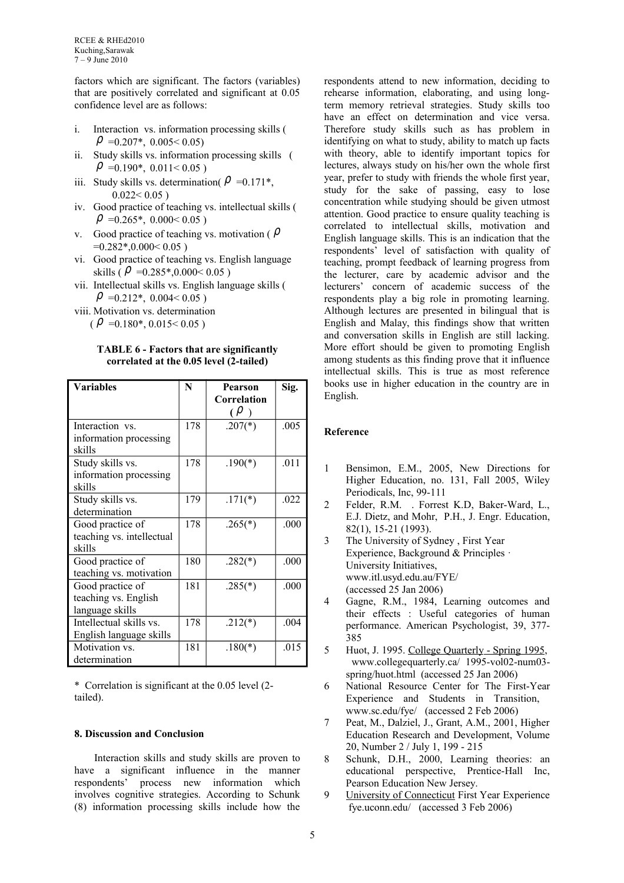factors which are significant. The factors (variables) that are positively correlated and significant at 0.05 confidence level are as follows:

- i. Interaction vs. information processing skills (  $\rho$  =0.207\*, 0.005 < 0.05)
- ii. Study skills vs. information processing skills (  $\rho$  =0.190\*, 0.011<0.05)
- iii. Study skills vs. determination( $\rho = 0.171^*$ ,  $0.022 < 0.05$ )
- iv. Good practice of teaching vs. intellectual skills (  $\rho$  =0.265\*, 0.000 < 0.05)
- v. Good practice of teaching vs. motivation ( $\rho$  $=0.282*,0.000<0.05$ )
- vi. Good practice of teaching vs. English language skills ( $\rho$  = 0.285\*,0.000 < 0.05)
- vii. Intellectual skills vs. English language skills (  $\rho$  =0.212\*, 0.004< 0.05)
- viii. Motivation vs. determination  $(\rho = 0.180^*, 0.015 < 0.05)$

## **TABLE 6 - Factors that are significantly correlated at the 0.05 level (2-tailed)**

| <b>Variables</b>                 | N   | <b>Pearson</b> | Sig. |
|----------------------------------|-----|----------------|------|
|                                  |     | Correlation    |      |
|                                  |     | $(\rho)$       |      |
| Interaction vs.                  | 178 | $.207(*)$      | .005 |
| information processing<br>skills |     |                |      |
| Study skills vs.                 | 178 | $.190(*)$      | .011 |
| information processing           |     |                |      |
| skills                           |     |                |      |
| Study skills vs.                 | 179 | $.171(*)$      | .022 |
| determination                    |     |                |      |
| Good practice of                 | 178 | $.265(*)$      | .000 |
| teaching vs. intellectual        |     |                |      |
| skills                           |     |                |      |
| Good practice of                 | 180 | $.282(*)$      | .000 |
| teaching vs. motivation          |     |                |      |
| Good practice of                 | 181 | $.285(*)$      | .000 |
| teaching vs. English             |     |                |      |
| language skills                  |     |                |      |
| Intellectual skills vs.          | 178 | $.212(*)$      | .004 |
| English language skills          |     |                |      |
| Motivation vs.                   | 181 | $.180(*)$      | .015 |
| determination                    |     |                |      |

\* Correlation is significant at the 0.05 level (2 tailed).

# **8. Discussion and Conclusion**

 Interaction skills and study skills are proven to have a significant influence in the manner respondents' process new information which involves cognitive strategies. According to Schunk (8) information processing skills include how the

respondents attend to new information, deciding to rehearse information, elaborating, and using longterm memory retrieval strategies. Study skills too have an effect on determination and vice versa. Therefore study skills such as has problem in identifying on what to study, ability to match up facts with theory, able to identify important topics for lectures, always study on his/her own the whole first year, prefer to study with friends the whole first year, study for the sake of passing, easy to lose concentration while studying should be given utmost attention. Good practice to ensure quality teaching is correlated to intellectual skills, motivation and English language skills. This is an indication that the respondents' level of satisfaction with quality of teaching, prompt feedback of learning progress from the lecturer, care by academic advisor and the lecturers' concern of academic success of the respondents play a big role in promoting learning. Although lectures are presented in bilingual that is English and Malay, this findings show that written and conversation skills in English are still lacking. More effort should be given to promoting English among students as this finding prove that it influence intellectual skills. This is true as most reference books use in higher education in the country are in English.

# **Reference**

- 1 Bensimon, E.M., 2005, New Directions for Higher Education, no. 131, Fall 2005, Wiley Periodicals, Inc, 99-111
- 2 Felder, R.M. . Forrest K.D, Baker-Ward, L., E.J. Dietz, and Mohr, P.H., J. Engr. Education, 82(1), 15-21 (1993).
- 3 The University of Sydney , [First Year](http://www.itl.usyd.edu.au/FYE/)  [Experience,](http://www.itl.usyd.edu.au/FYE/) Background & Principles · University Initiatives, [www.itl.usyd.edu.au/FYE/](http://www.itl.usyd.edu.au/FYE/) (accessed 25 Jan 2006)
- 4 Gagne, R.M., 1984, Learning outcomes and their effects : Useful categories of human performance. American Psychologist, 39, 377- 385
- 5 Huot, J. 1995. [College Quarterly Spring 1995,](http://www.collegequarterly.ca/1995-vol02-num03-spring/huot.html) www.collegequarterly.ca/ 1995-vol02-num03 spring/huot.html (accessed 25 Jan 2006)
- 6 National Resource Center for The First-Year Experience and Students in Transition, www.sc.edu/fye/ (accessed 2 Feb 2006)
- 7 Peat, M., Dalziel, J., Grant, A.M., 2001, Higher Education Research and Development, Volume 20, Number 2 / July 1, 199 - 215
- 8 Schunk, D.H., 2000, Learning theories: an educational perspective, Prentice-Hall Inc, Pearson Education New Jersey.
- 9 [University of Connecticut](http://fye.uconn.edu/) First Year Experience fye.uconn.edu/ (accessed 3 Feb 2006)